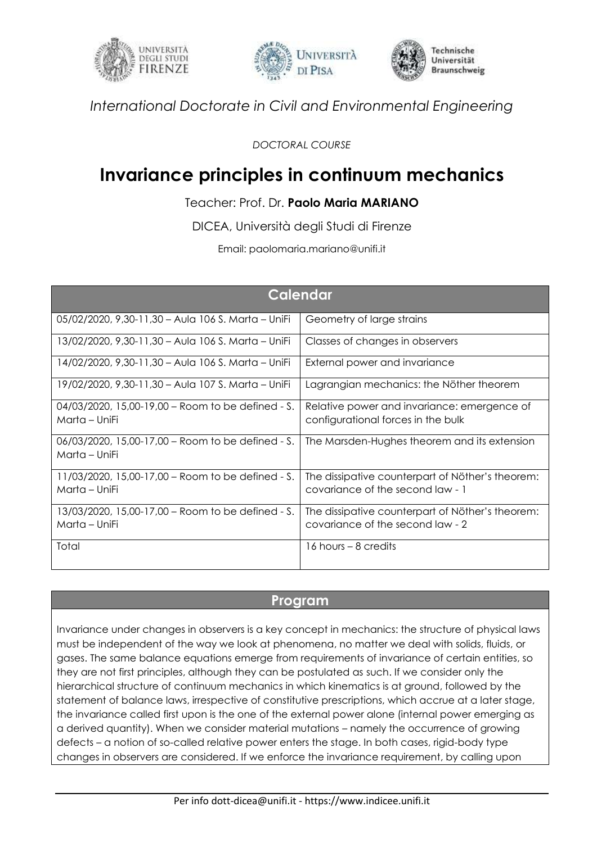





*International Doctorate in Civil and Environmental Engineering*

*DOCTORAL COURSE*

## **Invariance principles in continuum mechanics**

## Teacher: Prof. Dr. **Paolo Maria MARIANO**

DICEA, Università degli Studi di Firenze

Email: paolomaria.mariano@unifi.it

| <b>Calendar</b>                                                       |                                                                                      |
|-----------------------------------------------------------------------|--------------------------------------------------------------------------------------|
| 05/02/2020, 9,30-11,30 - Aula 106 S. Marta - UniFi                    | Geometry of large strains                                                            |
| 13/02/2020, 9,30-11,30 - Aula 106 S. Marta - UniFi                    | Classes of changes in observers                                                      |
| 14/02/2020, 9,30-11,30 – Aula 106 S. Marta – UniFi                    | External power and invariance                                                        |
| 19/02/2020, 9,30-11,30 – Aula 107 S. Marta – UniFi                    | Lagrangian mechanics: the Nöther theorem                                             |
| 04/03/2020, 15,00-19,00 - Room to be defined - S.<br>Marta – UniFi    | Relative power and invariance: emergence of<br>configurational forces in the bulk    |
| 06/03/2020, 15,00-17,00 - Room to be defined - S.<br>Marta – UniFi    | The Marsden-Hughes theorem and its extension                                         |
| $11/03/2020$ , 15,00-17,00 – Room to be defined - S.<br>Marta – UniFi | The dissipative counterpart of Nöther's theorem:<br>covariance of the second law - 1 |
| 13/03/2020, 15,00-17,00 – Room to be defined - S.<br>Marta – UniFi    | The dissipative counterpart of Nöther's theorem:<br>covariance of the second law - 2 |
| Total                                                                 | 16 hours – 8 credits                                                                 |

## **Program**

Invariance under changes in observers is a key concept in mechanics: the structure of physical laws must be independent of the way we look at phenomena, no matter we deal with solids, fluids, or gases. The same balance equations emerge from requirements of invariance of certain entities, so they are not first principles, although they can be postulated as such. If we consider only the hierarchical structure of continuum mechanics in which kinematics is at ground, followed by the statement of balance laws, irrespective of constitutive prescriptions, which accrue at a later stage, the invariance called first upon is the one of the external power alone (internal power emerging as a derived quantity). When we consider material mutations – namely the occurrence of growing defects – a notion of so-called relative power enters the stage. In both cases, rigid-body type changes in observers are considered. If we enforce the invariance requirement, by calling upon